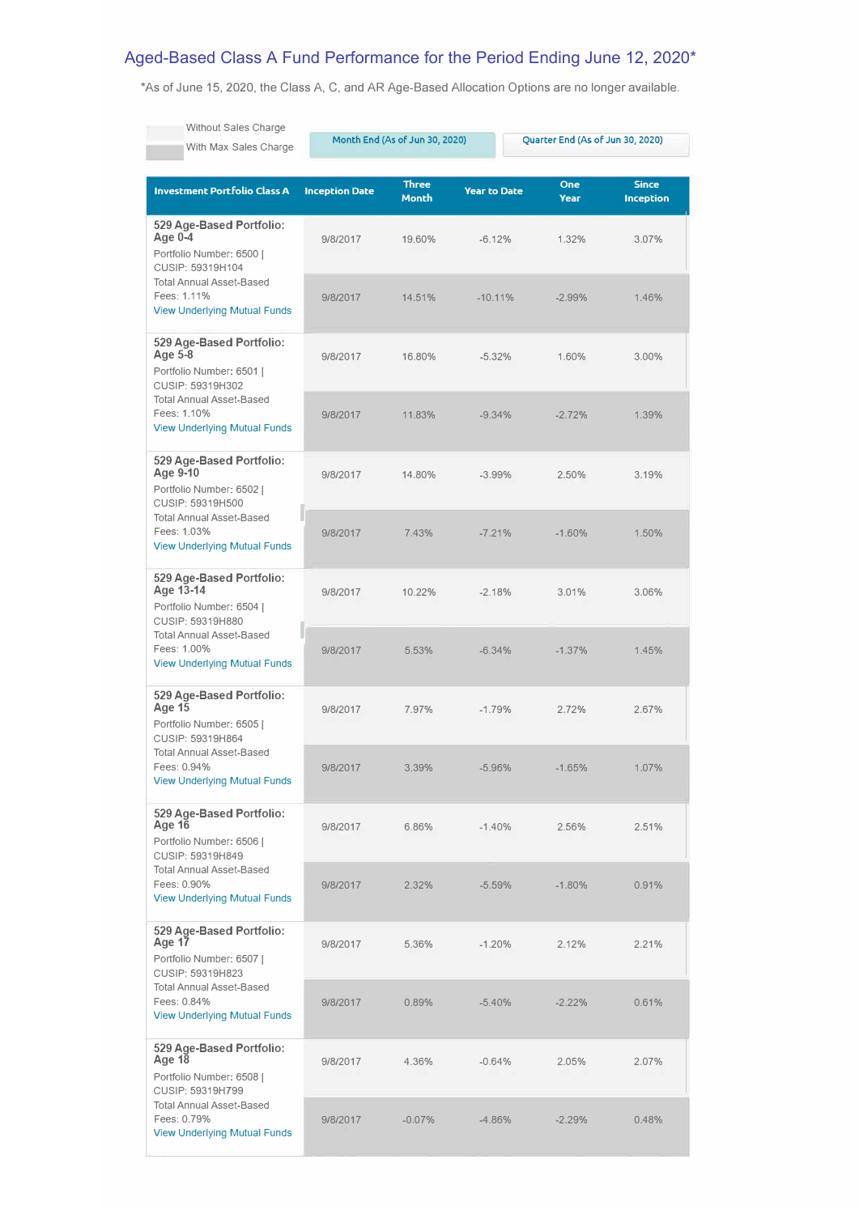## Aged-Based Class A Fund Performance for the Period Ending June 12, 2020\*

\*As of June 15, 2020, the Class A, C, and AR Age-Based Allocation Options are no longer available.

| <b>Without Sales Charge</b><br>With Max Sales Charge                                                                                                                               | Month End (As of Jun 30, 2020) |                       |                     | Quarter End (As of Jun 30, 2020) |                                  |  |
|------------------------------------------------------------------------------------------------------------------------------------------------------------------------------------|--------------------------------|-----------------------|---------------------|----------------------------------|----------------------------------|--|
| Investment Portfolio Class A                                                                                                                                                       | <b>Inception Date</b>          | <b>Three</b><br>Month | <b>Year to Date</b> | <b>One</b><br><b>Year</b>        | <b>Since</b><br><b>Inception</b> |  |
| 529 Age-Based Portfolio:<br>Age $0-4$<br>Portfolio Number: 6500  <br>CUSIP: 59319H104<br><b>Total Annual Asset-Based</b><br>Fees: 1.11%<br><b>View Underlying Mutual Funds</b>     | 9/8/2017                       | 19.60%                | $-6.12%$            | 1.32%                            | 3.07%                            |  |
|                                                                                                                                                                                    | 9/8/2017                       | 14.51%                | $-10.11%$           | $-2.99%$                         | 1.46%                            |  |
| 529 Age-Based Portfolio:<br>Age 5-8<br>Portfolio Number: 6501  <br>CUSIP: 59319H302<br><b>Total Annual Asset-Based</b><br>Fees: 1.10%<br><b>View Underlying Mutual Funds</b>       | 9/8/2017                       | 16.80%                | $-5.32%$            | 1.60%                            | 3.00%                            |  |
|                                                                                                                                                                                    | 9/8/2017                       | 11.83%                | $-9.34%$            | $-2.72%$                         | 1.39%                            |  |
| 529 Age-Based Portfolio:<br>Age 9-10<br>Portfolio Number: 6502 I<br>CUSIP: 59319H500<br><b>Total Annual Asset-Based</b><br>Fees: 1.03%<br><b>View Underlying Mutual Funds</b>      | 9/8/2017                       | 14.80%                | $-3.99%$            | 2.50%                            | 3.19%                            |  |
|                                                                                                                                                                                    | 9/8/2017                       | 7.43%                 | $-7.21%$            | $-1.60%$                         | 1.50%                            |  |
| 529 Age-Based Portfolio:<br>Age 13-14<br>Portfolio Number: 6504  <br>CUSIP: 59319H880<br><b>Total Annual Asset-Based</b><br>Fees: 1.00%<br><b>View Underlying Mutual Funds</b>     | 9/8/2017                       | 10.22%                | $-2.18%$            | 3.01%                            | 3.06%                            |  |
|                                                                                                                                                                                    | 9/8/2017                       | 5.53%                 | $-6.34%$            | $-1.37%$                         | 1.45%                            |  |
| 529 Age-Based Portfolio:<br><b>Age 15</b><br>Portfolio Number: 6505  <br>CUSIP: 59319H864<br><b>Total Annual Asset-Based</b><br>Fees: 0.94%<br><b>View Underlying Mutual Funds</b> | 9/8/2017                       | 7.97%                 | $-1.79%$            | 2.72%                            | 2.67%                            |  |
|                                                                                                                                                                                    | 9/8/2017                       | 3.39%                 | $-5.96%$            | $-1.65%$                         | 1.07%                            |  |
| 529 Age-Based Portfolio:<br><b>Age 16</b><br>Portfolio Number: 6506  <br>CUSIP: 59319H849<br><b>Total Annual Asset-Based</b><br>Fees: 0.90%<br><b>View Underlying Mutual Funds</b> | 9/8/2017                       | 6.86%                 | $-1.40%$            | 2.56%                            | 2.51%                            |  |
|                                                                                                                                                                                    | 9/8/2017                       | 2.32%                 | $-5.59%$            | $-1.80%$                         | 0.91%                            |  |
| 529 Age-Based Portfolio:<br>Age 17<br>Portfolio Number: 6507  <br>CUSIP: 59319H823<br><b>Total Annual Asset-Based</b><br>Fees: 0.84%<br><b>View Underlying Mutual Funds</b>        | 9/8/2017                       | 5.36%                 | $-1.20%$            | 2.12%                            | 2.21%                            |  |
|                                                                                                                                                                                    | 9/8/2017                       | 0.89%                 | $-5.40%$            | $-2.22%$                         | 0.61%                            |  |
| 529 Age-Based Portfolio:<br>Age 18<br>Portfolio Number: 6508  <br>CUSIP: 59319H799                                                                                                 | 9/8/2017                       | 4.36%                 | $-0.64%$            | 2.05%                            | 2.07%                            |  |
| <b>Total Annual Asset-Based</b><br>Fees: 0.79%<br><b>View Underlying Mutual Funds</b>                                                                                              | 9/8/2017                       | $-0.07%$              | -4.86%              | $-2.29%$                         | 0.48%                            |  |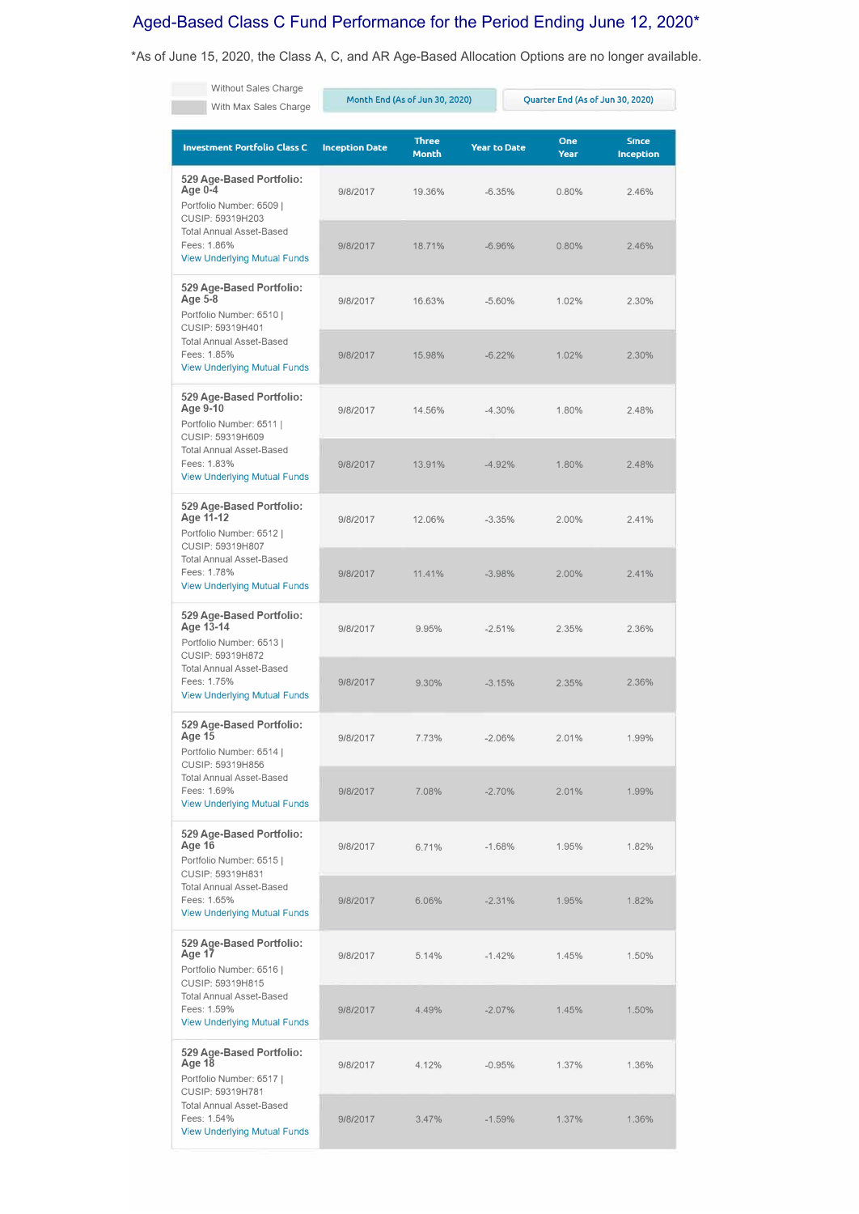## Aged-Based Class C Fund Performance for the Period Ending June 12, 2020\*

\*As of June 15, 2020, the Class A, C, and AR Age-Based Allocation Options are no longer available.

| Without Sales Charge<br>With Max Sales Charge                                                                                                                                  | Month End (As of Jun 30, 2020) |                              | Quarter End (As of Jun 30, 2020) |             |                                  |
|--------------------------------------------------------------------------------------------------------------------------------------------------------------------------------|--------------------------------|------------------------------|----------------------------------|-------------|----------------------------------|
| <b>Investment Portfolio Class C</b>                                                                                                                                            | <b>Inception Date</b>          | <b>Three</b><br><b>Month</b> | <b>Year to Date</b>              | One<br>Year | <b>Since</b><br><b>Inception</b> |
| 529 Age-Based Portfolio:<br>Age 0-4<br>Portfolio Number: 6509  <br>CUSIP: 59319H203<br><b>Total Annual Asset-Based</b><br>Fees: 1.86%<br><b>View Underlying Mutual Funds</b>   | 9/8/2017                       | 19.36%                       | $-6.35%$                         | 0.80%       | 2.46%                            |
|                                                                                                                                                                                | 9/8/2017                       | 18.71%                       | $-6.96%$                         | 0.80%       | 2.46%                            |
| 529 Age-Based Portfolio:<br>Age 5-8<br>Portfolio Number: 6510  <br>CUSIP: 59319H401<br><b>Total Annual Asset-Based</b><br>Fees: 1.85%<br><b>View Underlying Mutual Funds</b>   | 9/8/2017                       | 16.63%                       | $-5.60%$                         | 1.02%       | 2.30%                            |
|                                                                                                                                                                                | 9/8/2017                       | 15.98%                       | $-6.22%$                         | 1.02%       | 2.30%                            |
| 529 Age-Based Portfolio:<br>Age 9-10<br>Portfolio Number: 6511  <br>CUSIP: 59319H609<br><b>Total Annual Asset-Based</b><br>Fees: 1.83%<br><b>View Underlying Mutual Funds</b>  | 9/8/2017                       | 14.56%                       | $-4.30%$                         | 1.80%       | 2.48%                            |
|                                                                                                                                                                                | 9/8/2017                       | 13.91%                       | $-4.92%$                         | 1.80%       | 2.48%                            |
| 529 Age-Based Portfolio:<br>Age 11-12<br>Portfolio Number: 6512  <br>CUSIP: 59319H807<br><b>Total Annual Asset-Based</b><br>Fees: 1.78%<br><b>View Underlying Mutual Funds</b> | 9/8/2017                       | 12.06%                       | $-3.35%$                         | 2.00%       | 2.41%                            |
|                                                                                                                                                                                | 9/8/2017                       | 11.41%                       | $-3.98%$                         | 2.00%       | 2.41%                            |
| 529 Age-Based Portfolio:<br>Age 13-14<br>Portfolio Number: 6513  <br>CUSIP: 59319H872<br><b>Total Annual Asset-Based</b><br>Fees: 1.75%<br><b>View Underlying Mutual Funds</b> | 9/8/2017                       | 9.95%                        | $-2.51%$                         | 2.35%       | 2.36%                            |
|                                                                                                                                                                                | 9/8/2017                       | 9.30%                        | $-3.15%$                         | 2.35%       | 2.36%                            |
| 529 Age-Based Portfolio:<br>Age 15<br>Portfolio Number: 6514  <br>CUSIP: 59319H856<br><b>Total Annual Asset-Based</b><br>Fees: 1.69%<br><b>View Underlying Mutual Funds</b>    | 9/8/2017                       | 7.73%                        | $-2.06%$                         | 2.01%       | 1.99%                            |
|                                                                                                                                                                                | 9/8/2017                       | 7.08%                        | $-2.70%$                         | 2.01%       | 1.99%                            |
| 529 Age-Based Portfolio:<br>Age 16<br>Portfolio Number: 6515  <br>CUSIP: 59319H831<br><b>Total Annual Asset-Based</b><br>Fees: 1.65%<br><b>View Underlying Mutual Funds</b>    | 9/8/2017                       | 6.71%                        | $-1.68%$                         | 1.95%       | 1.82%                            |
|                                                                                                                                                                                | 9/8/2017                       | 6.06%                        | $-2.31%$                         | 1.95%       | 1.82%                            |
| 529 Age-Based Portfolio:<br>Age 17<br>Portfolio Number: 6516  <br>CUSIP: 59319H815<br><b>Total Annual Asset-Based</b><br>Fees: 1.59%<br><b>View Underlying Mutual Funds</b>    | 9/8/2017                       | 5.14%                        | $-1.42%$                         | 1.45%       | 1.50%                            |
|                                                                                                                                                                                | 9/8/2017                       | 4.49%                        | $-2.07%$                         | 1.45%       | 1.50%                            |
| 529 Age-Based Portfolio:<br>Age 18<br>Portfolio Number: 6517  <br>CUSIP: 59319H781<br><b>Total Annual Asset-Based</b><br>Fees: 1.54%<br><b>View Underlying Mutual Funds</b>    | 9/8/2017                       | 4.12%                        | $-0.95%$                         | 1.37%       | 1.36%                            |
|                                                                                                                                                                                | 9/8/2017                       | 3.47%                        | $-1.59%$                         | 1.37%       | 1.36%                            |